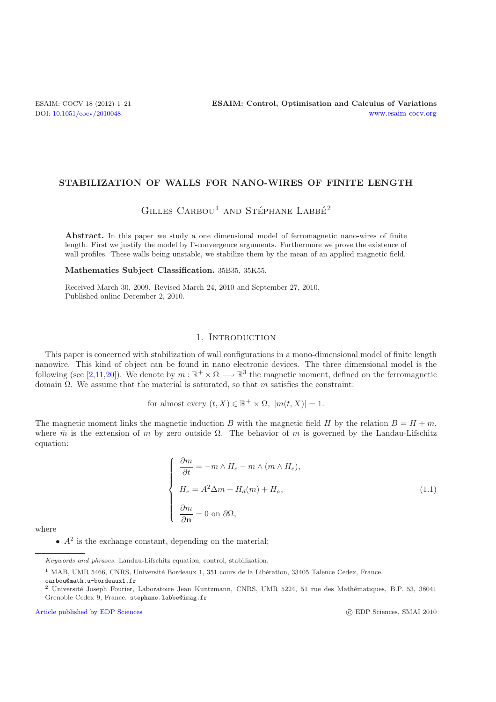#### **STABILIZATION OF WALLS FOR NANO-WIRES OF FINITE LENGTH**

# GILLES  $C$ ARBOU<sup>1</sup> AND STÉPHANE LABBÉ<sup>2</sup>

Abstract. In this paper we study a one dimensional model of ferromagnetic nano-wires of finite length. First we justify the model by Γ-convergence arguments. Furthermore we prove the existence of wall profiles. These walls being unstable, we stabilize them by the mean of an applied magnetic field.

**Mathematics Subject Classification.** 35B35, 35K55.

Received March 30, 2009. Revised March 24, 2010 and September 27, 2010. Published online December 2, 2010.

#### 1. INTRODUCTION

This paper is concerned with stabilization of wall configurations in a mono-dimensional model of finite length nanowire. This kind of object can be found in nano electronic devices. The three dimensional model is the following (see [\[2](#page-19-0)[,11](#page-19-1)[,20](#page-20-0)]). We denote by  $m : \mathbb{R}^+ \times \Omega \longrightarrow \mathbb{R}^3$  the magnetic moment, defined on the ferromagnetic domain  $\Omega$ . We assume that the material is saturated, so that m satisfies the constraint:

for almost every  $(t, X) \in \mathbb{R}^+ \times \Omega$ ,  $|m(t, X)| = 1$ .

The magnetic moment links the magnetic induction B with the magnetic field H by the relation  $B = H + \bar{m}$ , where  $\bar{m}$  is the extension of m by zero outside  $\Omega$ . The behavior of m is governed by the Landau-Lifschitz equation:

<span id="page-0-0"></span>
$$
\begin{cases}\n\frac{\partial m}{\partial t} = -m \wedge H_e - m \wedge (m \wedge H_e), \\
H_e = A^2 \Delta m + H_d(m) + H_a, \\
\frac{\partial m}{\partial \mathbf{n}} = 0 \text{ on } \partial \Omega,\n\end{cases}
$$
\n(1.1)

where

•  $A^2$  is the exchange constant, depending on the material;

 $1$  MAB, UMR 5466, CNRS, Université Bordeaux 1, 351 cours de la Libération, 33405 Talence Cedex, France.

carbou@math.u-bordeaux1.fr

[Article published by EDP Sciences](http://www.edpsciences.org)

c EDP Sciences, SMAI 2010

Keywords and phrases. Landau-Lifschitz equation, control, stabilization.

<sup>&</sup>lt;sup>2</sup> Université Joseph Fourier, Laboratoire Jean Kuntzmann, CNRS, UMR 5224, 51 rue des Mathématiques, B.P. 53, 38041 Grenoble Cedex 9, France. stephane.labbe@imag.fr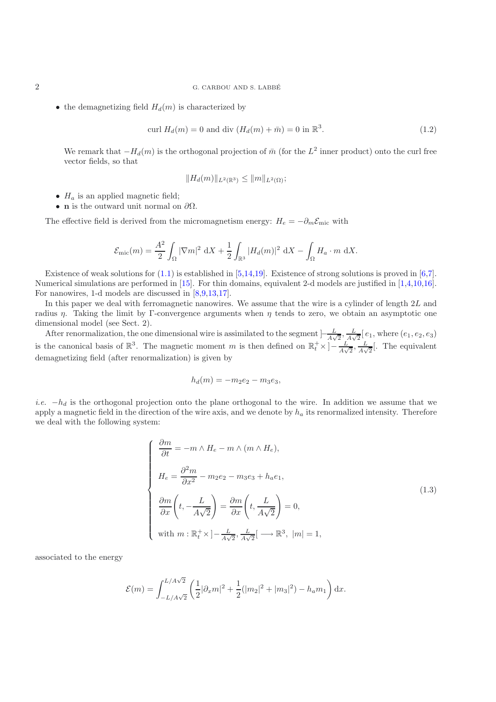#### 2 G. CARBOU AND S. LABBE´

• the demagnetizing field  $H_d(m)$  is characterized by

$$
\operatorname{curl} H_d(m) = 0 \text{ and } \operatorname{div} (H_d(m) + \bar{m}) = 0 \text{ in } \mathbb{R}^3. \tag{1.2}
$$

<span id="page-1-1"></span>We remark that  $-H_d(m)$  is the orthogonal projection of  $\bar{m}$  (for the  $L^2$  inner product) onto the curl free vector fields, so that

$$
||H_d(m)||_{L^2(\mathbb{R}^3)} \le ||m||_{L^2(\Omega)};
$$

- $H_a$  is an applied magnetic field;
- **n** is the outward unit normal on  $\partial\Omega$ .

The effective field is derived from the micromagnetism energy:  $H_e = -\partial_m \mathcal{E}_{\text{mic}}$  with

$$
\mathcal{E}_{\rm mic}(m) = \frac{A^2}{2} \int_{\Omega} |\nabla m|^2 \, \mathrm{d}X + \frac{1}{2} \int_{\mathbb{R}^3} |H_d(m)|^2 \, \mathrm{d}X - \int_{\Omega} H_a \cdot m \, \mathrm{d}X.
$$

Existence of weak solutions for [\(1.1\)](#page-0-0) is established in [\[5](#page-19-2)[,14](#page-20-1)[,19\]](#page-20-2). Existence of strong solutions is proved in [\[6](#page-19-3)[,7\]](#page-19-4). Numerical simulations are performed in [\[15\]](#page-20-3). For thin domains, equivalent 2-d models are justified in [\[1](#page-19-5)[,4](#page-19-6)[,10](#page-19-7)[,16\]](#page-20-4). For nanowires, 1-d models are discussed in [\[8](#page-19-8)[,9](#page-19-9)[,13](#page-20-5)[,17](#page-20-6)].

In this paper we deal with ferromagnetic nanowires. We assume that the wire is a cylinder of length 2L and radius  $\eta$ . Taking the limit by Γ-convergence arguments when  $\eta$  tends to zero, we obtain an asymptotic one dimensional model (see Sect. 2).

After renormalization, the one dimensional wire is assimilated to the segment  $\left[-\frac{L}{A\sqrt{2}}, \frac{L}{A\sqrt{2}}\left[e_1\right],$  where  $(e_1, e_2, e_3\right]$ is the canonical basis of  $\mathbb{R}^3$ . The magnetic moment m is then defined on  $\mathbb{R}_t^+ \times \left[-\frac{L}{A\sqrt{2}}, \frac{L}{A\sqrt{2}}\right]$ . The equivalent demagnetizing field (after renormalization) is given by

$$
h_d(m) = -m_2e_2 - m_3e_3,
$$

*i.e.*  $-h_d$  is the orthogonal projection onto the plane orthogonal to the wire. In addition we assume that we apply a magnetic field in the direction of the wire axis, and we denote by  $h_a$  its renormalized intensity. Therefore we deal with the following system:

<span id="page-1-0"></span>
$$
\begin{cases}\n\frac{\partial m}{\partial t} = -m \wedge H_e - m \wedge (m \wedge H_e), \\
H_e = \frac{\partial^2 m}{\partial x^2} - m_2 e_2 - m_3 e_3 + h_a e_1, \\
\frac{\partial m}{\partial x} \left( t, -\frac{L}{A\sqrt{2}} \right) = \frac{\partial m}{\partial x} \left( t, \frac{L}{A\sqrt{2}} \right) = 0, \\
\text{with } m: \mathbb{R}_t^+ \times ]-\frac{L}{A\sqrt{2}}, \frac{L}{A\sqrt{2}} [ \longrightarrow \mathbb{R}^3, |m| = 1,\n\end{cases}
$$
\n(1.3)

associated to the energy

$$
\mathcal{E}(m) = \int_{-L/A\sqrt{2}}^{L/A\sqrt{2}} \left( \frac{1}{2} |\partial_x m|^2 + \frac{1}{2} (|m_2|^2 + |m_3|^2) - h_a m_1 \right) dx.
$$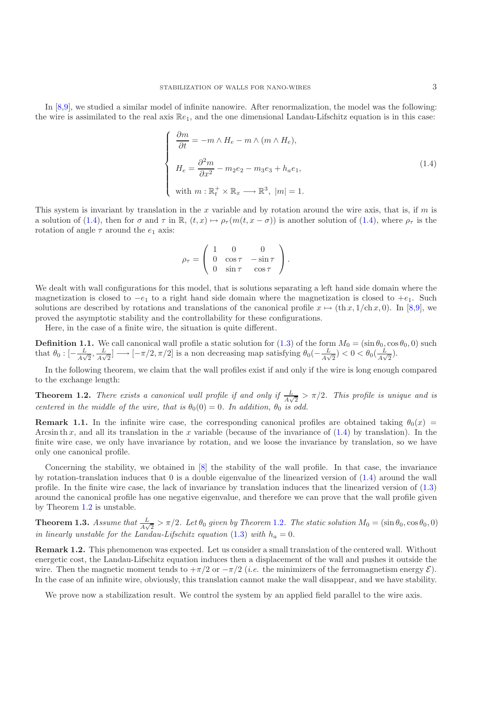In [\[8](#page-19-8)[,9\]](#page-19-9), we studied a similar model of infinite nanowire. After renormalization, the model was the following: the wire is assimilated to the real axis  $\mathbb{R}e_1$ , and the one dimensional Landau-Lifschitz equation is in this case:

<span id="page-2-0"></span>
$$
\begin{cases}\n\frac{\partial m}{\partial t} = -m \wedge H_e - m \wedge (m \wedge H_e), \\
H_e = \frac{\partial^2 m}{\partial x^2} - m_2 e_2 - m_3 e_3 + h_a e_1, \\
\text{with } m: \mathbb{R}_t^+ \times \mathbb{R}_x \longrightarrow \mathbb{R}^3, \ |m| = 1.\n\end{cases}
$$
\n(1.4)

This system is invariant by translation in the x variable and by rotation around the wire axis, that is, if m is a solution of [\(1.4\)](#page-2-0), then for  $\sigma$  and  $\tau$  in  $\mathbb{R}$ ,  $(t, x) \mapsto \rho_{\tau}(m(t, x - \sigma))$  is another solution of (1.4), where  $\rho_{\tau}$  is the rotation of angle  $\tau$  around the  $e_1$  axis:

$$
\rho_{\tau} = \left( \begin{array}{ccc} 1 & 0 & 0 \\ 0 & \cos \tau & -\sin \tau \\ 0 & \sin \tau & \cos \tau \end{array} \right).
$$

We dealt with wall configurations for this model, that is solutions separating a left hand side domain where the magnetization is closed to  $-e_1$  to a right hand side domain where the magnetization is closed to  $+e_1$ . Such solutions are described by rotations and translations of the canonical profile  $x \mapsto (\text{th } x, 1/\text{ch } x, 0)$ . In [\[8](#page-19-8)[,9\]](#page-19-9), we proved the asymptotic stability and the controllability for these configurations.

Here, in the case of a finite wire, the situation is quite different.

**Definition 1.1.** We call canonical wall profile a static solution for  $(1.3)$  of the form  $M_0 = (\sin \theta_0, \cos \theta_0, 0)$  such that  $\theta_0 : [-L] \rightarrow [-\pi/2, \pi/2]$  is a non decreasing map satisfying  $\theta_0(-L) < 0 < \theta_0(-L)$ that  $\theta_0: \left[-\frac{L}{A\sqrt{2}}, \frac{L}{A\sqrt{2}}\right] \longrightarrow \left[-\frac{\pi}{2}, \frac{\pi}{2}\right]$  is a non decreasing map satisfying  $\theta_0\left(-\frac{L}{A\sqrt{2}}\right) < 0 < \theta_0\left(\frac{L}{A\sqrt{2}}\right)$ .

<span id="page-2-1"></span>In the following theorem, we claim that the wall profiles exist if and only if the wire is long enough compared to the exchange length:

**Theorem 1.2.** *There exists a canonical wall profile if and only if*  $\frac{L}{\sqrt{2}} > \pi/2$ . *This profile is unique and is centered in the middle of the wire, that is*  $\theta_0(0) = 0$ *. In addition,*  $\theta_0$  *is odd.* 

**Remark 1.1.** In the infinite wire case, the corresponding canonical profiles are obtained taking  $\theta_0(x)$ Arcsin th x, and all its translation in the x variable (because of the invariance of  $(1.4)$  by translation). In the finite wire case, we only have invariance by rotation, and we loose the invariance by translation, so we have only one canonical profile.

Concerning the stability, we obtained in [\[8\]](#page-19-8) the stability of the wall profile. In that case, the invariance by rotation-translation induces that  $0$  is a double eigenvalue of the linearized version of  $(1.4)$  around the wall profile. In the finite wire case, the lack of invariance by translation induces that the linearized version of [\(1.3\)](#page-1-0) around the canonical profile has one negative eigenvalue, and therefore we can prove that the wall profile given by Theorem [1.2](#page-2-1) is unstable.

<span id="page-2-2"></span>**Theorem 1.3.** *Assume that*  $\frac{L}{A\sqrt{2}} > \pi/2$ *. Let*  $\theta_0$  *given by Theorem* [1.2](#page-2-1)*. The static solution*  $M_0 = (\sin \theta_0, \cos \theta_0, 0)$ *in linearly unstable for the Landau-Lifschitz equation* [\(1.3\)](#page-1-0) *with*  $h_a = 0$ *.* 

**Remark 1.2.** This phenomenon was expected. Let us consider a small translation of the centered wall. Without energetic cost, the Landau-Lifschitz equation induces then a displacement of the wall and pushes it outside the wire. Then the magnetic moment tends to  $+\pi/2$  or  $-\pi/2$  (*i.e.* the minimizers of the ferromagnetism energy  $\mathcal{E}$ ). In the case of an infinite wire, obviously, this translation cannot make the wall disappear, and we have stability.

<span id="page-2-3"></span>We prove now a stabilization result. We control the system by an applied field parallel to the wire axis.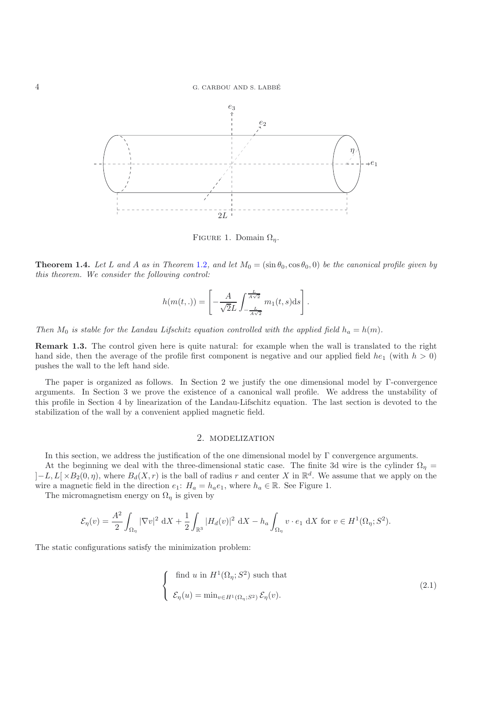

FIGURE 1. Domain  $\Omega_n$ .

**Theorem 1.4.** Let L and A as in Theorem [1.2](#page-2-1), and let  $M_0 = (\sin \theta_0, \cos \theta_0, 0)$  be the canonical profile given by *this theorem. We consider the following control:*

$$
h(m(t, .)) = \left[ -\frac{A}{\sqrt{2}L} \int_{-\frac{L}{A\sqrt{2}}}^{\frac{L}{A\sqrt{2}}} m_1(t, s) \mathrm{d}s \right].
$$

*Then*  $M_0$  *is stable for the Landau Lifschitz equation controlled with the applied field*  $h_a = h(m)$ *.* 

**Remark 1.3.** The control given here is quite natural: for example when the wall is translated to the right hand side, then the average of the profile first component is negative and our applied field  $he_1$  (with  $h > 0$ ) pushes the wall to the left hand side.

The paper is organized as follows. In Section 2 we justify the one dimensional model by Γ-convergence arguments. In Section 3 we prove the existence of a canonical wall profile. We address the unstability of this profile in Section 4 by linearization of the Landau-Lifschitz equation. The last section is devoted to the stabilization of the wall by a convenient applied magnetic field.

#### 2. modelization

In this section, we address the justification of the one dimensional model by  $\Gamma$  convergence arguments.

At the beginning we deal with the three-dimensional static case. The finite 3d wire is the cylinder  $\Omega_n =$  $]-L, L[\times B_2(0, \eta),$  where  $B_d(X, r)$  is the ball of radius r and center X in  $\mathbb{R}^d$ . We assume that we apply on the wire a magnetic field in the direction  $e_1$ :  $H_a = h_a e_1$ , where  $h_a \in \mathbb{R}$ . See Figure 1.

The micromagnetism energy on  $\Omega_{\eta}$  is given by

$$
\mathcal{E}_{\eta}(v)=\frac{A^2}{2}\int_{\Omega_{\eta}}|\nabla v|^2\ \mathrm{d} X+\frac{1}{2}\int_{\mathbb{R}^3}|H_d(v)|^2\ \mathrm{d} X-h_a\int_{\Omega_{\eta}}v\cdot e_1\ \mathrm{d} X\text{ for }v\in H^1(\Omega_{\eta};S^2).
$$

The static configurations satisfy the minimization problem:

<span id="page-3-0"></span>
$$
\begin{cases}\n\text{ find } u \text{ in } H^1(\Omega_\eta; S^2) \text{ such that} \\
\mathcal{E}_\eta(u) = \min_{v \in H^1(\Omega_\eta; S^2)} \mathcal{E}_\eta(v).\n\end{cases}
$$
\n(2.1)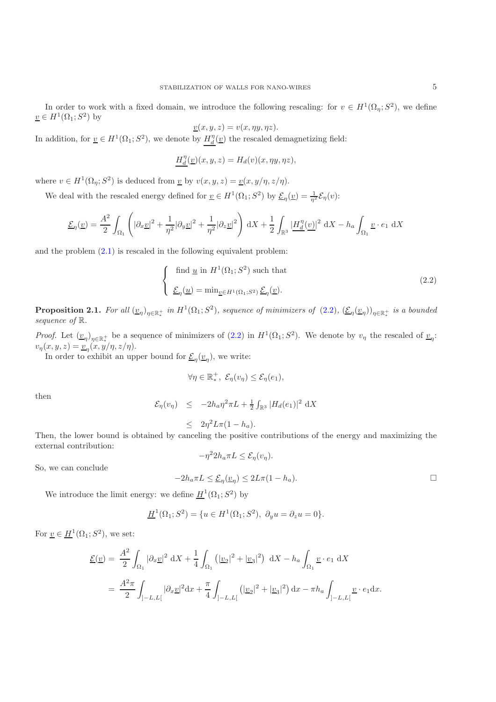In order to work with a fixed domain, we introduce the following rescaling: for  $v \in H^1(\Omega_n; S^2)$ , we define  $\underline{v} \in H^1(\Omega_1; S^2)$  by

$$
\underline{v}(x, y, z) = v(x, \eta y, \eta z).
$$

In addition, for  $\underline{v} \in H^1(\Omega_1; S^2)$ , we denote by  $\underline{H}_d^{\eta}(\underline{v})$  the rescaled demagnetizing field:

$$
\underline{H_d^{\eta}(\underline{v})}(x, y, z) = H_d(v)(x, \eta y, \eta z),
$$

where  $v \in H^1(\Omega_\eta; S^2)$  is deduced from  $\underline{v}$  by  $v(x, y, z) = \underline{v}(x, y/\eta, z/\eta)$ .

We deal with the rescaled energy defined for  $\underline{v} \in H^1(\Omega_1; S^2)$  by  $\underline{\mathcal{E}}_{\eta}(\underline{v}) = \frac{1}{\eta^2} \mathcal{E}_{\eta}(v)$ :

$$
\underline{\mathcal{E}}_{\eta}(\underline{v}) = \frac{A^2}{2} \int_{\Omega_1} \left( |\partial_x \underline{v}|^2 + \frac{1}{\eta^2} |\partial_y \underline{v}|^2 + \frac{1}{\eta^2} |\partial_z \underline{v}|^2 \right) dX + \frac{1}{2} \int_{\mathbb{R}^3} \left| \underline{H}_d^{\eta}(\underline{v}) \right|^2 dX - h_a \int_{\Omega_1} \underline{v} \cdot e_1 dX
$$

and the problem [\(2.1\)](#page-3-0) is rescaled in the following equivalent problem:

<span id="page-4-0"></span>
$$
\begin{cases} \text{ find } \underline{u} \text{ in } H^1(\Omega_1; S^2) \text{ such that} \\ \underline{\mathcal{E}}_{\eta}(\underline{u}) = \min_{\underline{v} \in H^1(\Omega_1; S^2)} \underline{\mathcal{E}}_{\eta}(\underline{v}). \end{cases}
$$
 (2.2)

**Proposition 2.1.** For all  $(\underline{v}_{\eta})_{\eta \in \mathbb{R}^+_*}$  in  $H^1(\Omega_1; S^2)$ , sequence of minimizers of  $(2.2)$ ,  $(\underline{\mathcal{E}}_{\eta}(\underline{v}_{\eta}))_{\eta \in \mathbb{R}^+_*}$  is a bounded *sequence of* R*.*

*Proof.* Let  $(\underline{v}_\eta)_{\eta \in \mathbb{R}_+^+}$  be a sequence of minimizers of  $(2.2)$  in  $H^1(\Omega_1; S^2)$ . We denote by  $v_\eta$  the rescaled of  $\underline{v}_\eta$ :  $v_{\eta}(x, y, z) = \underline{v}_{\eta}(x, y/\eta, z/\eta).$ 

In order to exhibit an upper bound for  $\underline{\mathcal{E}}_{\eta}(\underline{v}_{\eta})$ , we write:

$$
\forall \eta \in \mathbb{R}_*^+, \ \mathcal{E}_{\eta}(v_{\eta}) \leq \mathcal{E}_{\eta}(e_1),
$$

then

$$
\mathcal{E}_{\eta}(v_{\eta}) \leq -2h_a \eta^2 \pi L + \frac{1}{2} \int_{\mathbb{R}^3} |H_d(e_1)|^2 \, dX
$$

$$
\leq 2\eta^2 L \pi (1 - h_a).
$$

 $\leq 2\eta^2 L \pi (1 - h_a)$ .<br>Then, the lower bound is obtained by canceling the positive contributions of the energy and maximizing the external contribution:  $-\eta^2 2h_a \pi L \leq \mathcal{E}_n(v_n).$ 

So, we can conclude

$$
-2h_a \pi L \leq \underline{\mathcal{E}}_{\eta}(\underline{v}_{\eta}) \leq 2L\pi (1 - h_a).
$$

We introduce the limit energy: we define  $\underline{H}^1(\Omega_1; S^2)$  by

$$
\underline{H}^{1}(\Omega_{1}; S^{2}) = \{ u \in H^{1}(\Omega_{1}; S^{2}), \ \partial_{y} u = \partial_{z} u = 0 \}.
$$

For  $\underline{v} \in \underline{H}^1(\Omega_1; S^2)$ , we set:

$$
\mathcal{L}(\underline{v}) = \frac{A^2}{2} \int_{\Omega_1} |\partial_x \underline{v}|^2 \, \mathrm{d}X + \frac{1}{4} \int_{\Omega_1} (|\underline{v}_2|^2 + |\underline{v}_3|^2) \, \mathrm{d}X - h_a \int_{\Omega_1} \underline{v} \cdot e_1 \, \mathrm{d}X
$$
  
= 
$$
\frac{A^2 \pi}{2} \int_{]-L,L[} |\partial_x \underline{v}|^2 \mathrm{d}x + \frac{\pi}{4} \int_{]-L,L[} (|\underline{v}_2|^2 + |\underline{v}_3|^2) \, \mathrm{d}x - \pi h_a \int_{]-L,L[} \underline{v} \cdot e_1 \mathrm{d}x.
$$

 $\Box$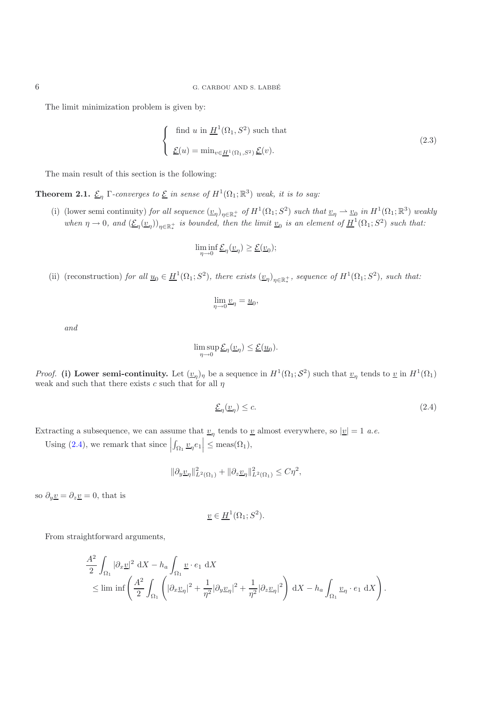The limit minimization problem is given by:

$$
\begin{cases} \text{find } u \text{ in } \underline{H}^1(\Omega_1, S^2) \text{ such that} \\ \underline{\mathcal{E}}(u) = \min_{v \in \underline{H}^1(\Omega_1, S^2)} \underline{\mathcal{E}}(v). \end{cases}
$$
 (2.3)

The main result of this section is the following:

**Theorem 2.1.**  $\underline{\mathcal{E}}_{\eta}$  Γ*-converges to*  $\underline{\mathcal{E}}$  *in sense of*  $H^1(\Omega_1; \mathbb{R}^3)$  *weak, it is to say:* 

(i) (lower semi continuity) *for all sequence*  $(\underline{v}_{\eta})_{\eta \in \mathbb{R}^+}$  *of*  $H^1(\Omega_1; S^2)$  *such that*  $\underline{v}_{\eta} \rightharpoonup \underline{v}_0$  *in*  $H^1(\Omega_1; \mathbb{R}^3)$  *weakly when*  $\eta \to 0$ , and  $(\underline{\mathcal{E}}_{\eta}(\underline{v}_{\eta}))_{\eta \in \mathbb{R}^+_*}$  *is bounded, then the limit*  $\underline{v}_0$  *is an element of*  $\underline{H}^1(\Omega_1; S^2)$  *such that:* 

$$
\liminf_{\eta \to 0} \underline{\mathcal{E}}_{\eta}(\underline{v}_{\eta}) \geq \underline{\mathcal{E}}(\underline{v}_{0});
$$

(ii) (reconstruction) *for all*  $\underline{u}_0 \in \underline{H}^1(\Omega_1; S^2)$ , there exists  $(\underline{v}_\eta)_{\eta \in \mathbb{R}^+_*}$ , sequence of  $H^1(\Omega_1; S^2)$ , such that:

$$
\lim_{\eta \to 0} \underline{v}_{\eta} = \underline{u}_0,
$$

*and*

$$
\limsup_{\eta \to 0} \underline{\mathcal{E}}_{\eta}(\underline{v}_{\eta}) \leq \underline{\mathcal{E}}(\underline{u}_{0}).
$$

*Proof.* (i) Lower semi-continuity. Let  $(\underline{v}_{\eta})_{\eta}$  be a sequence in  $H^1(\Omega_1; S^2)$  such that  $\underline{v}_{\eta}$  tends to <u>v</u> in  $H^1(\Omega_1)$ weak and such that there exists c such that for all  $\eta$ 

<span id="page-5-0"></span>
$$
\underline{\mathcal{E}}_{\eta}(\underline{v}_{\eta}) \leq c. \tag{2.4}
$$

Extracting a subsequence, we can assume that  $v_{\eta}$  tends to <u>v</u> almost everywhere, so  $|v| = 1$  *a.e.* 

Using  $(2.4)$ , we remark that since  $\Big|$  $\left| \int_{\Omega_1} \underline{v}_{\eta} e_1 \right| \leq \text{meas}(\Omega_1),$ 

$$
\|\partial_y \underline{v}_\eta\|_{L^2(\Omega_1)}^2 + \|\partial_z \underline{v}_\eta\|_{L^2(\Omega_1)}^2 \le C\eta^2,
$$

so  $\partial_y \underline{v} = \partial_z \underline{v} = 0$ , that is

$$
\underline{v} \in \underline{H}^1(\Omega_1; S^2).
$$

From straightforward arguments,

$$
\frac{A^2}{2} \int_{\Omega_1} |\partial_x \underline{v}|^2 dX - h_a \int_{\Omega_1} \underline{v} \cdot e_1 dX
$$
  
\$\leq\$  $\liminf \left( \frac{A^2}{2} \int_{\Omega_1} \left( |\partial_x \underline{v}_\eta|^2 + \frac{1}{\eta^2} |\partial_y \underline{v}_\eta|^2 + \frac{1}{\eta^2} |\partial_z \underline{v}_\eta|^2 \right) dX - h_a \int_{\Omega_1} \underline{v}_\eta \cdot e_1 dX \right).$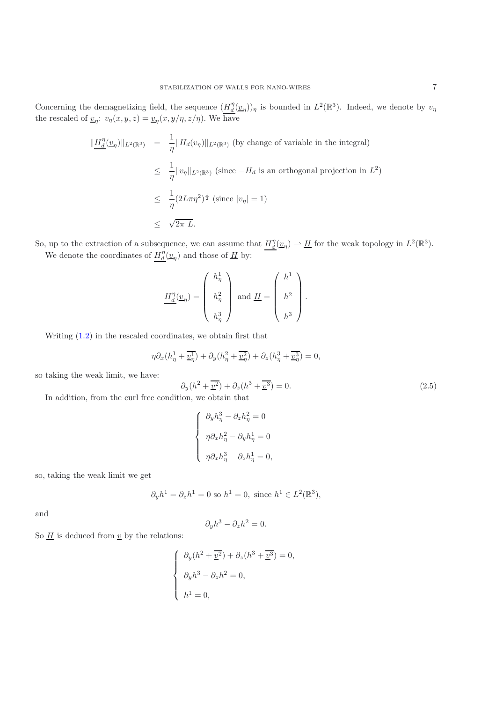Concerning the demagnetizing field, the sequence  $(H_d^{\eta}(\underline{v}_\eta))_\eta$  is bounded in  $L^2(\mathbb{R}^3)$ . Indeed, we denote by  $v_\eta$ <br>the rescaled of  $u, u_\eta$  (x, x, x) and  $(x, u/\eta)$ . We have the rescaled of  $\underline{v}_{\eta}$ :  $v_{\eta}(x, y, z) = \underline{v}_{\eta}(x, y/\eta, z/\eta)$ . We have

$$
\|\underline{H_d^{\eta}}(\underline{v}_{\eta})\|_{L^2(\mathbb{R}^3)} = \frac{1}{\eta} \|H_d(v_{\eta})\|_{L^2(\mathbb{R}^3)}
$$
 (by change of variable in the integral)  
\n
$$
\leq \frac{1}{\eta} \|v_{\eta}\|_{L^2(\mathbb{R}^3)}
$$
 (since  $-H_d$  is an orthogonal projection in  $L^2$ )  
\n
$$
\leq \frac{1}{\eta} (2L\pi\eta^2)^{\frac{1}{2}}
$$
 (since  $|v_{\eta}| = 1$ )  
\n
$$
\leq \sqrt{2\pi L}.
$$

So, up to the extraction of a subsequence, we can assume that  $H_d^{\eta}(\underline{v}_\eta) \rightharpoonup H$  for the weak topology in  $L^2(\mathbb{R}^3)$ . We denote the coordinates of  $H_d^{\eta}(\underline{v}_{\eta})$  and those of  $\underline{H}$  by:

$$
\underline{H_d^\eta}(\underline{v}_\eta) = \left( \begin{array}{c} h^1_\eta \\[1ex] h^2_\eta \\[1ex] h^3_\eta \end{array} \right) \text{ and } \underline{H} = \left( \begin{array}{c} h^1 \\[1ex] h^2 \\[1ex] h^3 \end{array} \right).
$$

Writing [\(1.2\)](#page-1-1) in the rescaled coordinates, we obtain first that

$$
\eta \partial_x (h_\eta^1 + \overline{\underline{v}_\eta^1}) + \partial_y (h_\eta^2 + \overline{\underline{v}_\eta^2}) + \partial_z (h_\eta^3 + \overline{\underline{v}_\eta^3}) = 0,
$$

so taking the weak limit, we have:

$$
\partial_y(h^2 + \overline{v^2}) + \partial_z(h^3 + \overline{v^3}) = 0.
$$
\n(2.5)

In addition, from the curl free condition, we obtain that

$$
\begin{cases}\n\partial_y h_\eta^3 - \partial_z h_\eta^2 = 0 \\
\eta \partial_x h_\eta^2 - \partial_y h_\eta^1 = 0 \\
\eta \partial_x h_\eta^3 - \partial_z h_\eta^1 = 0,\n\end{cases}
$$

so, taking the weak limit we get

$$
\partial_y h^1 = \partial_z h^1 = 0
$$
 so  $h^1 = 0$ , since  $h^1 \in L^2(\mathbb{R}^3)$ ,

and

$$
\partial_y h^3 - \partial_z h^2 = 0.
$$

So  $\underline{H}$  is deduced from  $\underline{v}$  by the relations:

$$
\begin{cases}\n\partial_y(h^2 + \overline{v^2}) + \partial_z(h^3 + \overline{v^3}) = 0, \\
\partial_y h^3 - \partial_z h^2 = 0, \\
h^1 = 0,\n\end{cases}
$$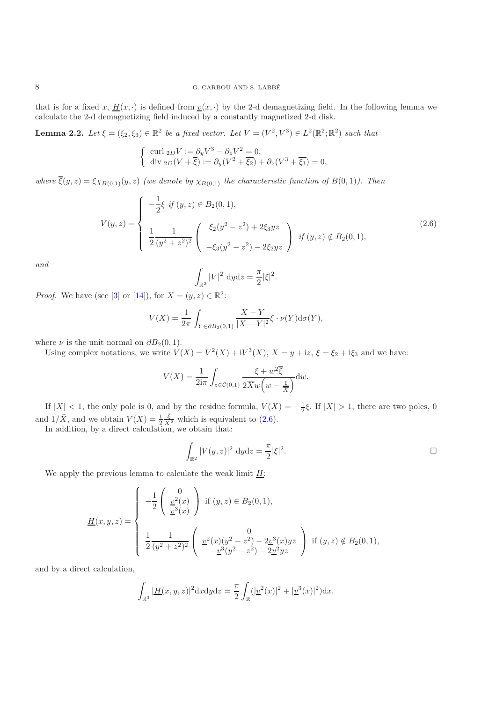that is for a fixed x,  $\underline{H}(x, \cdot)$  is defined from  $\underline{v}(x, \cdot)$  by the 2-d demagnetizing field. In the following lemma we calculate the 2-d demagnetizing field induced by a constantly magnetized 2-d disk.

**Lemma 2.2.** *Let*  $\xi = (\xi_2, \xi_3) \in \mathbb{R}^2$  *be a fixed vector. Let*  $V = (V^2, V^3) \in L^2(\mathbb{R}^2; \mathbb{R}^2)$  *such that* 

$$
\begin{cases} \operatorname{curl} \,{}_2D V := \partial_y V^3 - \partial_z V^2 = 0, \\ \operatorname{div} \,{}_2D(V + \overline{\xi}) := \partial_y (V^2 + \overline{\xi_2}) + \partial_z (V^3 + \overline{\xi_3}) = 0, \end{cases}
$$

*where*  $\overline{\xi}(y, z) = \xi \chi_{B(0,1)}(y, z)$  *(we denote by*  $\chi_{B(0,1)}$  *the characteristic function of*  $B(0,1)$ *). Then* 

$$
V(y,z) = \begin{cases} -\frac{1}{2}\xi \text{ if } (y,z) \in B_2(0,1), \\ \frac{1}{2} \frac{1}{(y^2+z^2)^2} \begin{pmatrix} \xi_2(y^2-z^2) + 2\xi_3 y z \\ -\xi_3(y^2-z^2) - 2\xi_2 y z \end{pmatrix} \text{ if } (y,z) \notin B_2(0,1), \end{cases}
$$
(2.6)

<span id="page-7-0"></span>*and*

$$
\int_{\mathbb{R}^2} |V|^2 \, \mathrm{d}y \mathrm{d}z = \frac{\pi}{2} |\xi|^2.
$$

*Proof.* We have (see [\[3](#page-19-10)] or [\[14](#page-20-1)]), for  $X = (y, z) \in \mathbb{R}^2$ :

$$
V(X) = \frac{1}{2\pi} \int_{Y \in \partial B_2(0,1)} \frac{X - Y}{|X - Y|^2} \xi \cdot \nu(Y) d\sigma(Y),
$$

where  $\nu$  is the unit normal on  $\partial B_2(0,1)$ .<br>Using complex potations, we write  $V(\mathcal{U})$ 

Using complex notations, we write  $V(X) = V^2(X) + iV^3(X)$ ,  $X = y + iz$ ,  $\xi = \xi_2 + i\xi_3$  and we have:

$$
V(X) = \frac{1}{2i\pi} \int_{z \in \mathcal{C}(0,1)} \frac{\xi + w^2 \overline{\xi}}{2\overline{X}w(w - \frac{1}{\overline{X}})} dw.
$$

If  $|X| < 1$ , the only pole is 0, and by the residue formula,  $V(X) = -\frac{1}{2}\xi$ . If  $|X| > 1$ , there are two poles, 0 and  $1/\bar{X}$ , and we obtain  $V(X) = \frac{1}{2}$ <br>In addition, by a direct calculation  $\frac{\bar{\xi}}{X^2}$  which is equivalent to  $(2.6)$ .

In addition, by a direct calculation, we obtain that:

$$
\int_{\mathbb{R}^2} |V(y, z)|^2 dydz = \frac{\pi}{2} |\xi|^2.
$$

We apply the previous lemma to calculate the weak limit  $H$ :

$$
\underline{H}(x,y,z) = \begin{cases}\n-\frac{1}{2} \begin{pmatrix} 0 \\
\frac{v^2}{2}(x) \\
\frac{v^3}{2}(x) \end{pmatrix} & \text{if } (y,z) \in B_2(0,1), \\
\frac{1}{2} \frac{1}{(y^2+z^2)^2} \begin{pmatrix} 0 \\
\frac{v^2(x)(y^2-z^2)-2v^3(x)yz}{-v^3(y^2-z^2)-2v^2yz} \end{pmatrix} & \text{if } (y,z) \notin B_2(0,1),\n\end{cases}
$$

and by a direct calculation,

$$
\int_{\mathbb{R}^3} |\underline{H}(x,y,z)|^2 dxdydz = \frac{\pi}{2} \int_{\mathbb{R}} (|\underline{v}^2(x)|^2 + |\underline{v}^3(x)|^2) dx.
$$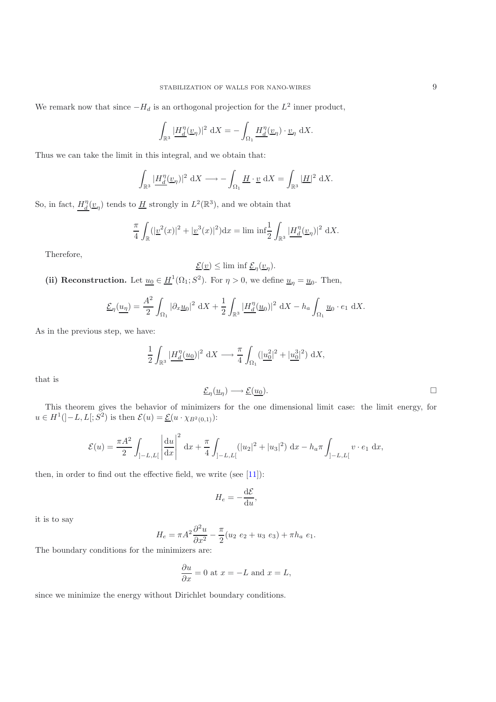We remark now that since  $-H_d$  is an orthogonal projection for the  $L^2$  inner product,

$$
\int_{\mathbb{R}^3} \left| \frac{H_d^{\eta}(\underline{v}_{\eta})}{\underline{d}} \right|^2 \, \mathrm{d}X = -\int_{\Omega_1} \underline{H_d^{\eta}(\underline{v}_{\eta})} \cdot \underline{v}_{\eta} \, \mathrm{d}X.
$$

Thus we can take the limit in this integral, and we obtain that:

$$
\int_{\mathbb{R}^3} \left| \underline{H_d^{\eta}}(\underline{v}_{\eta}) \right|^2 \, \mathrm{d}X \longrightarrow -\int_{\Omega_1} \underline{H} \cdot \underline{v} \, \mathrm{d}X = \int_{\mathbb{R}^3} \left| \underline{H} \right|^2 \, \mathrm{d}X.
$$

So, in fact,  $H_d^{\eta}(\underline{v}_{\eta})$  tends to  $\underline{H}$  strongly in  $L^2(\mathbb{R}^3)$ , and we obtain that

$$
\frac{\pi}{4} \int_{\mathbb{R}} (|\underline{v}^2(x)|^2 + |\underline{v}^3(x)|^2) dx = \liminf \frac{1}{2} \int_{\mathbb{R}^3} |\underline{H}_d^{\eta}(\underline{v}_\eta)|^2 dX.
$$

Therefore,

$$
\underline{\mathcal{E}}(\underline{v}) \le \liminf \underline{\mathcal{E}}_{\eta}(\underline{v}_{\eta}).
$$

(ii) Reconstruction. Let  $\underline{u}_0 \in \underline{H}^1(\Omega_1; S^2)$ . For  $\eta > 0$ , we define  $\underline{u}_\eta = \underline{u}_0$ . Then,

$$
\underline{\mathcal{E}}_{\eta}(\underline{u_{\eta}}) = \frac{A^2}{2} \int_{\Omega_1} |\partial_x \underline{u}_0|^2 \, \mathrm{d}X + \frac{1}{2} \int_{\mathbb{R}^3} \left| \underline{H_d^{\eta}}(\underline{u}_0) \right|^2 \, \mathrm{d}X - h_a \int_{\Omega_1} \underline{u}_0 \cdot e_1 \, \mathrm{d}X.
$$

As in the previous step, we have:

$$
\frac{1}{2}\int_{\mathbb{R}^3} \left|\underline{H_d^{\eta}(u_0)}\right|^2 \, \mathrm{d}X \longrightarrow \frac{\pi}{4} \int_{\Omega_1} \left(|\underline{u_0^2}|^2 + |\underline{u_0^3}|^2\right) \, \mathrm{d}X,
$$

that is

$$
\underline{\mathcal{E}}_{\eta}(\underline{u}_{\eta}) \longrightarrow \underline{\mathcal{E}}(\underline{u}_0).
$$

This theorem gives the behavior of minimizers for the one dimensional limit case: the limit energy, for  $u\in H^1(]-L,L[;S^2)$  is then  $\mathcal{E}(u)=\underline{\mathcal{E}}(u\cdot\chi_{B^2(0,1)})$ :

$$
\mathcal{E}(u) = \frac{\pi A^2}{2} \int_{]-L,L[} \left| \frac{du}{dx} \right|^2 dx + \frac{\pi}{4} \int_{]-L,L[} (|u_2|^2 + |u_3|^2) dx - h_a \pi \int_{]-L,L[} v \cdot e_1 dx,
$$

then, in order to find out the effective field, we write (see [\[11\]](#page-19-1)):

$$
H_e = -\frac{\mathrm{d}\mathcal{E}}{\mathrm{d}u},
$$

it is to say

$$
H_e = \pi A^2 \frac{\partial^2 u}{\partial x^2} - \frac{\pi}{2} (u_2 \ e_2 + u_3 \ e_3) + \pi h_a \ e_1.
$$

 $H_e = \pi A^2 \frac{\partial^2 u}{\partial x^2} - \frac{\pi}{2}$ <br>The boundary conditions for the minimizers are:

$$
\frac{\partial u}{\partial x} = 0 \text{ at } x = -L \text{ and } x = L,
$$

since we minimize the energy without Dirichlet boundary conditions.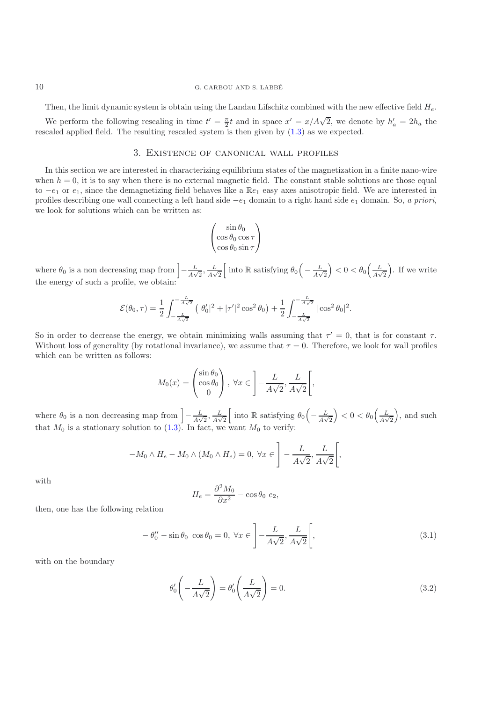#### 10 G. CARBOU AND S. LABBE´

Then, the limit dynamic system is obtain using the Landau Lifschitz combined with the new effective field  $H_e$ .

We perform the following rescaling in time  $t' = \frac{\pi}{2}t$  and in space  $x' = x/A\sqrt{2}$ , we denote by  $h'_a = 2h_a$  the called applied field. The resulting rescaled system is then given by (1.3) as we expected rescaled applied field. The resulting rescaled system is then given by [\(1.3\)](#page-1-0) as we expected.

# 3. Existence of canonical wall profiles

In this section we are interested in characterizing equilibrium states of the magnetization in a finite nano-wire when  $h = 0$ , it is to say when there is no external magnetic field. The constant stable solutions are those equal to  $-e_1$  or  $e_1$ , since the demagnetizing field behaves like a  $\mathbb{R}e_1$  easy axes anisotropic field. We are interested in profiles describing one wall connecting a left hand side <sup>−</sup>e<sup>1</sup> domain to a right hand side <sup>e</sup><sup>1</sup> domain. So, *a priori*, we look for solutions which can be written as:

$$
\begin{pmatrix}\n\sin \theta_0 \\
\cos \theta_0 \cos \tau \\
\cos \theta_0 \sin \tau\n\end{pmatrix}
$$

where  $\theta_0$  is a non decreasing map from  $\left[-\frac{L}{A\sqrt{2}}, \frac{L}{A\sqrt{2}}\right]$  into R satisfying  $\theta_0\left(-\frac{L}{A\sqrt{2}}\right) < 0 < \theta_0\left(\frac{L}{A\sqrt{2}}\right)$ . If we write the energy of such a profile, we obtain:

$$
\mathcal{E}(\theta_0, \tau) = \frac{1}{2} \int_{-\frac{L}{A\sqrt{2}}}^{-\frac{L}{A\sqrt{2}}} \left( |\theta'_0|^2 + |\tau'|^2 \cos^2 \theta_0 \right) + \frac{1}{2} \int_{-\frac{L}{A\sqrt{2}}}^{-\frac{L}{A\sqrt{2}}} |\cos^2 \theta_0|^2.
$$

So in order to decrease the energy, we obtain minimizing walls assuming that  $\tau' = 0$ , that is for constant  $\tau$ . Without loss of generality (by rotational invariance), we assume that  $\tau = 0$ . Therefore, we look for wall profiles which can be written as follows:

$$
M_0(x) = \begin{pmatrix} \sin \theta_0 \\ \cos \theta_0 \\ 0 \end{pmatrix}, \ \forall x \in \left] -\frac{L}{A\sqrt{2}}, \frac{L}{A\sqrt{2}} \right[,
$$

where  $\theta_0$  is a non decreasing map from  $\left[-\frac{L}{A\sqrt{2}}, \frac{L}{A\sqrt{2}}\right]$  into R satisfying  $\theta_0\left(-\frac{L}{A\sqrt{2}}\right) < 0 < \theta_0\left(\frac{L}{A\sqrt{2}}\right)$ , and such that  $M_0$  is a stationary solution to [\(1.3\)](#page-1-0). In fact, we want  $M_0$  to verify:

$$
-M_0 \wedge H_e - M_0 \wedge (M_0 \wedge H_e) = 0, \ \forall x \in \left] -\frac{L}{A\sqrt{2}}, \frac{L}{A\sqrt{2}} \right[,
$$

with

$$
H_e = \frac{\partial^2 M_0}{\partial x^2} - \cos \theta_0 \ e_2,
$$

<span id="page-9-0"></span>then, one has the following relation

$$
-\theta_0'' - \sin\theta_0 \cos\theta_0 = 0, \forall x \in \left] -\frac{L}{A\sqrt{2}}, \frac{L}{A\sqrt{2}} \right[,
$$
\n(3.1)

with on the boundary

<span id="page-9-1"></span>
$$
\theta_0' \left( -\frac{L}{A\sqrt{2}} \right) = \theta_0' \left( \frac{L}{A\sqrt{2}} \right) = 0. \tag{3.2}
$$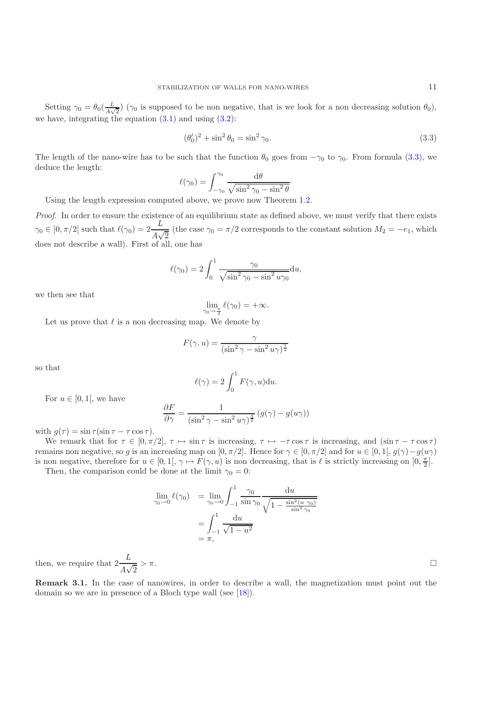Setting  $\gamma_0 = \theta_0(\frac{L}{A\sqrt{2}})$  ( $\gamma_0$  is supposed to be non negative, that is we look for a non decreasing solution  $\theta_0$ ), we have, integrating the equation  $(3.1)$  and using  $(3.2)$ :

<span id="page-10-0"></span>
$$
(\theta_0')^2 + \sin^2 \theta_0 = \sin^2 \gamma_0. \tag{3.3}
$$

The length of the nano-wire has to be such that the function  $\theta_0$  goes from  $-\gamma_0$  to  $\gamma_0$ . From formula [\(3.3\)](#page-10-0), we deduce the length:

$$
\ell(\gamma_0) = \int_{-\gamma_0}^{\gamma_0} \frac{\mathrm{d}\theta}{\sqrt{\sin^2 \gamma_0 - \sin^2 \theta}}.
$$

Using the length expression computed above, we prove now Theorem [1.2.](#page-2-1)

*Proof.* In order to ensure the existence of an equilibrium state as defined above, we must verify that there exists  $\gamma_0 \in ]0, \pi/2[$  such that  $\ell(\gamma_0) = 2 \frac{2}{\Lambda \sqrt{2}}$  (the case  $\gamma_0 = \pi/2$  corresponds to the constant solution  $M_2 = -e_1$ , which does not describe a wall). First of all, one has

$$
\ell(\gamma_0) = 2 \int_0^1 \frac{\gamma_0}{\sqrt{\sin^2 \gamma_0 - \sin^2 u \gamma_0}} \mathrm{d}u,
$$

we then see that

$$
\lim_{\gamma_0 \to \frac{\pi}{2}} \ell(\gamma_0) = +\infty.
$$

Let us prove that  $\ell$  is a non decreasing map. We denote by

$$
F(\gamma, u) = \frac{\gamma}{(\sin^2 \gamma - \sin^2 u \gamma)^{\frac{1}{2}}}
$$

so that

$$
\ell(\gamma) = 2 \int_0^1 F(\gamma, u) \mathrm{d}u.
$$

For  $u \in [0, 1]$ , we have

$$
\frac{\partial F}{\partial \gamma} = \frac{1}{(\sin^2 \gamma - \sin^2 u \gamma)^{\frac{3}{2}}} (g(\gamma) - g(u\gamma))
$$

with  $g(\tau) = \sin \tau (\sin \tau - \tau \cos \tau)$ .

We remark that for  $\tau \in [0, \pi/2], \tau \mapsto \sin \tau$  is increasing,  $\tau \mapsto -\tau \cos \tau$  is increasing, and  $(\sin \tau - \tau \cos \tau)$ remains non negative, so g is an increasing map on  $[0, \pi/2]$ . Hence for  $\gamma \in [0, \pi/2]$  and for  $u \in [0, 1], g(\gamma) - g(u\gamma)$ is non negative, therefore for  $u \in [0,1[,\gamma \mapsto F(\gamma,u)]$  is non decreasing, that is  $\ell$  is strictly increasing on  $[0,\frac{\pi}{2}]$ .<br>Then the comparison could be done at the limit  $\infty = 0$ .

Then, the comparison could be done at the limit  $\gamma_0 = 0$ :

$$
\lim_{\gamma_0 \to 0} \ell(\gamma_0) = \lim_{\gamma_0 \to 0} \int_{-1}^1 \frac{\gamma_0}{\sin \gamma_0} \frac{du}{\sqrt{1 - \frac{\sin^2(u \gamma_0)}{\sin^2 \gamma_0}}}
$$

$$
= \int_{-1}^1 \frac{du}{\sqrt{1 - u^2}}
$$

$$
= \pi,
$$

then, we require that  $2\frac{2}{A\sqrt{2}}$  $> \pi$ .

**Remark 3.1.** In the case of nanowires, in order to describe a wall, the magnetization must point out the domain so we are in presence of a Bloch type wall (see [\[18](#page-20-7)]).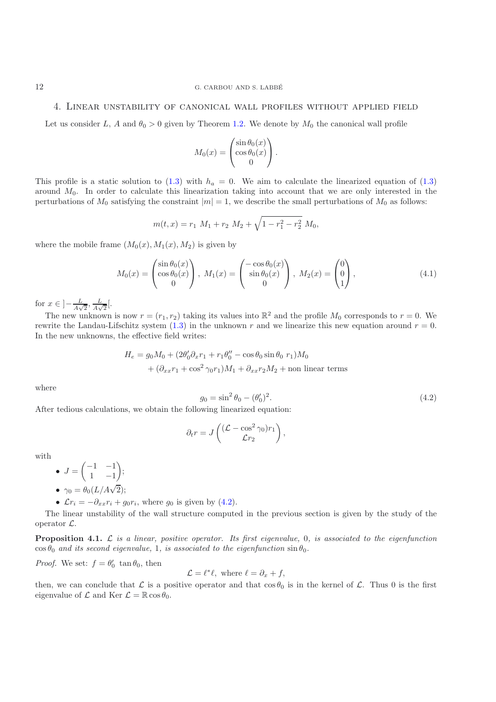#### 4. Linear unstability of canonical wall profiles without applied field

Let us consider L, A and  $\theta_0 > 0$  given by Theorem [1.2.](#page-2-1) We denote by  $M_0$  the canonical wall profile

$$
M_0(x) = \begin{pmatrix} \sin \theta_0(x) \\ \cos \theta_0(x) \\ 0 \end{pmatrix}.
$$

This profile is a static solution to [\(1.3\)](#page-1-0) with  $h_a = 0$ . We aim to calculate the linearized equation of (1.3) around  $M_0$ . In order to calculate this linearization taking into account that we are only interested in the perturbations of  $M_0$  satisfying the constraint  $|m| = 1$ , we describe the small perturbations of  $M_0$  as follows:

$$
m(t,x) = r_1 M_1 + r_2 M_2 + \sqrt{1 - r_1^2 - r_2^2} M_0,
$$

<span id="page-11-1"></span>where the mobile frame  $(M_0(x), M_1(x), M_2)$  is given by

$$
M_0(x) = \begin{pmatrix} \sin \theta_0(x) \\ \cos \theta_0(x) \\ 0 \end{pmatrix}, M_1(x) = \begin{pmatrix} -\cos \theta_0(x) \\ \sin \theta_0(x) \\ 0 \end{pmatrix}, M_2(x) = \begin{pmatrix} 0 \\ 0 \\ 1 \end{pmatrix},
$$
(4.1)

for  $x \in \left]-\frac{L}{A\sqrt{2}}, \frac{L}{A\sqrt{2}}\right[$ .

The new unknown is now  $r = (r_1, r_2)$  taking its values into  $\mathbb{R}^2$  and the profile  $M_0$  corresponds to  $r = 0$ . We rewrite the Landau-Lifschitz system [\(1.3\)](#page-1-0) in the unknown r and we linearize this new equation around  $r = 0$ . In the new unknowns, the effective field writes:

<span id="page-11-0"></span>
$$
H_e = g_0 M_0 + (2\theta'_0 \partial_x r_1 + r_1 \theta''_0 - \cos \theta_0 \sin \theta_0 r_1) M_0
$$
  
+ 
$$
(\partial_{xx} r_1 + \cos^2 \gamma_0 r_1) M_1 + \partial_{xx} r_2 M_2 + \text{non linear terms}
$$

where

$$
g_0 = \sin^2 \theta_0 - (\theta'_0)^2.
$$
\n(4.2)

After tedious calculations, we obtain the following linearized equation:

$$
\partial_t r = J\left(\frac{(\mathcal{L} - \cos^2 \gamma_0) r_1}{\mathcal{L} r_2}\right),\,
$$

with

- $J = \begin{pmatrix} -1 & -1 \\ 1 & -1 \end{pmatrix}$ 1 −1
- $\gamma_0 = \theta_0(L/A\sqrt{2});$
- $\mathcal{L}r_i = -\partial_{xx}r_i + g_0r_i$ , where  $g_0$  is given by [\(4.2\)](#page-11-0).

 $\bigg),$ 

<span id="page-11-2"></span>The linear unstability of the wall structure computed in the previous section is given by the study of the operator L.

**Proposition 4.1.** L *is a linear, positive operator. Its first eigenvalue,* 0*, is associated to the eigenfunction*  $\cos \theta_0$  *and its second eigenvalue,* 1*, is associated to the eigenfunction*  $\sin \theta_0$ *.* 

*Proof.* We set:  $f = \theta_0' \tan \theta_0$ , then

$$
\mathcal{L} = \ell^* \ell, \text{ where } \ell = \partial_x + f,
$$

then, we can conclude that  $\mathcal L$  is a positive operator and that  $\cos\theta_0$  is in the kernel of  $\mathcal L$ . Thus 0 is the first eigenvalue of  $\mathcal L$  and  $\text{Ker } \mathcal L = \mathbb R \cos \theta_0$ eigenvalue of  $\mathcal L$  and Ker  $\mathcal L = \mathbb R \cos \theta_0$ .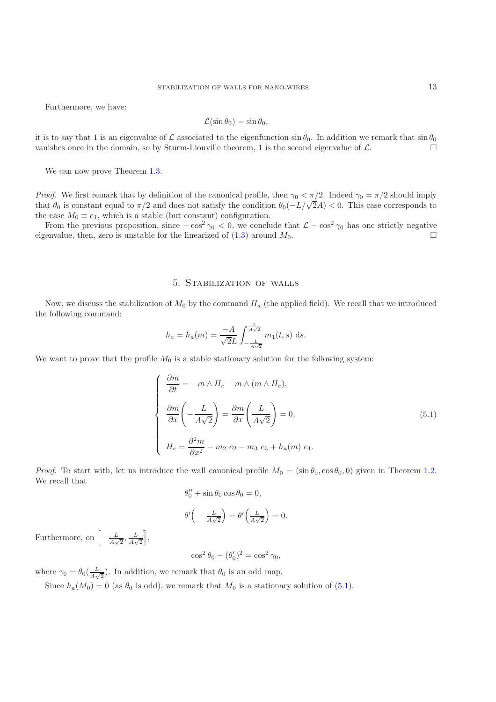Furthermore, we have:

$$
\mathcal{L}(\sin \theta_0) = \sin \theta_0,
$$

it is to say that 1 is an eigenvalue of  $\mathcal L$  associated to the eigenfunction  $\sin \theta_0$ . In addition we remark that  $\sin \theta_0$  vanishes once in the domain, so by Sturm-Liouville theorem, 1 is the second eigenvalue of  $\mathcal L$ vanishes once in the domain, so by Sturm-Liouville theorem, 1 is the second eigenvalue of  $\mathcal{L}$ .

We can now prove Theorem [1.3.](#page-2-2)

*Proof.* We first remark that by definition of the canonical profile, then  $\gamma_0 < \pi/2$ . Indeed  $\gamma_0 = \pi/2$  should imply that  $\theta_0$  is constant equal to  $\pi/2$  and does not satisfy the condition  $\theta_0(-L/\sqrt{2}A) < 0$ . This case corresponds to the case  $M_0 \equiv e_1$ , which is a stable (but constant) configuration.

From the previous proposition, since  $-\cos^2 \gamma_0 < 0$ , we conclude that  $\mathcal{L} - \cos^2 \gamma_0$  has one strictly negative reproduce then zero is unstable for the linearized of (1.3) around  $M_0$ eigenvalue, then, zero is unstable for the linearized of  $(1.3)$  around  $M_0$ .

#### 5. Stabilization of walls

Now, we discuss the stabilization of  $M_0$  by the command  $H_a$  (the applied field). We recall that we introduced the following command:

$$
h_a = h_a(m) = \frac{-A}{\sqrt{2}L} \int_{-\frac{L}{A\sqrt{2}}}^{\frac{L}{A\sqrt{2}}} m_1(t, s) \, ds.
$$

We want to prove that the profile  $M_0$  is a stable stationary solution for the following system:

<span id="page-12-0"></span>
$$
\begin{cases}\n\frac{\partial m}{\partial t} = -m \wedge H_e - m \wedge (m \wedge H_e), \\
\frac{\partial m}{\partial x} \left( -\frac{L}{A\sqrt{2}} \right) = \frac{\partial m}{\partial x} \left( \frac{L}{A\sqrt{2}} \right) = 0, \\
H_e = \frac{\partial^2 m}{\partial x^2} - m_2 e_2 - m_3 e_3 + h_a(m) e_1.\n\end{cases}
$$
\n(5.1)

*Proof.* To start with, let us introduce the wall canonical profile  $M_0 = (\sin \theta_0, \cos \theta_0, 0)$  given in Theorem [1.2.](#page-2-1) We recall that

$$
\theta_0^{\prime\prime} + \sin \theta_0 \cos \theta_0 = 0,
$$

$$
\theta' \left( -\frac{L}{A\sqrt{2}} \right) = \theta' \left( \frac{L}{A\sqrt{2}} \right) = 0.
$$

Furthermore, on  $\left[-\frac{L}{A\sqrt{2}}, \frac{L}{A\sqrt{2}}\right]$ ,

$$
\cos^2 \theta_0 - (\theta'_0)^2 = \cos^2 \gamma_0,
$$

where  $\gamma_0 = \theta_0(\frac{L}{A\sqrt{2}})$ . In addition, we remark that  $\theta_0$  is an odd map.

Since  $h_a(M_0) = 0$  (as  $\theta_0$  is odd), we remark that  $M_0$  is a stationary solution of [\(5.1\)](#page-12-0).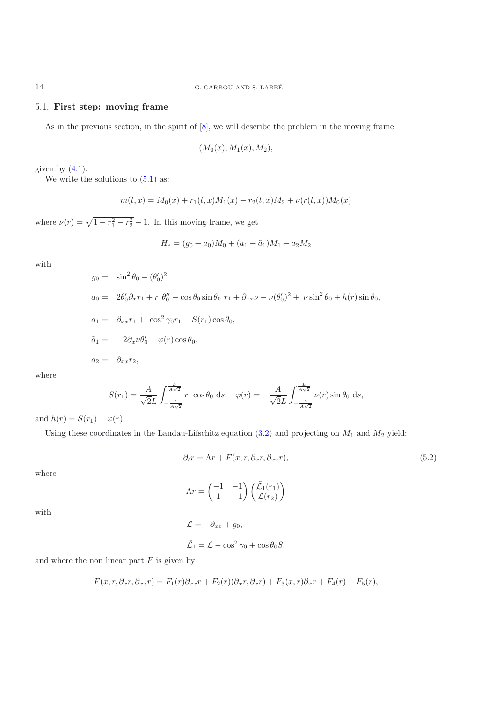#### 5.1. **First step: moving frame**

As in the previous section, in the spirit of  $[8]$  $[8]$ , we will describe the problem in the moving frame

$$
(M_0(x), M_1(x), M_2),
$$

given by  $(4.1)$ .

We write the solutions to  $(5.1)$  as:

$$
m(t,x) = M_0(x) + r_1(t,x)M_1(x) + r_2(t,x)M_2 + \nu(r(t,x))M_0(x)
$$

where  $\nu(r) = \sqrt{1 - r_1^2 - r_2^2} - 1$ . In this moving frame, we get

$$
H_e = (g_0 + a_0)M_0 + (a_1 + \tilde{a}_1)M_1 + a_2M_2
$$

with

$$
g_0 = \sin^2 \theta_0 - (\theta'_0)^2
$$
  
\n
$$
a_0 = 2\theta'_0 \partial_x r_1 + r_1 \theta''_0 - \cos \theta_0 \sin \theta_0 \ r_1 + \partial_{xx} \nu - \nu (\theta'_0)^2 + \nu \sin^2 \theta_0 + h(r) \sin \theta_0,
$$
  
\n
$$
a_1 = \partial_{xx} r_1 + \cos^2 \gamma_0 r_1 - S(r_1) \cos \theta_0,
$$
  
\n
$$
\tilde{a}_1 = -2\partial_x \nu \theta'_0 - \varphi(r) \cos \theta_0,
$$
  
\n
$$
a_2 = \partial_{xx} r_2,
$$

where

$$
S(r_1) = \frac{A}{\sqrt{2}L} \int_{-\frac{L}{A\sqrt{2}}}^{\frac{L}{A\sqrt{2}}} r_1 \cos \theta_0 \, ds, \quad \varphi(r) = -\frac{A}{\sqrt{2}L} \int_{-\frac{L}{A\sqrt{2}}}^{\frac{L}{A\sqrt{2}}} \nu(r) \sin \theta_0 \, ds,
$$

and  $h(r) = S(r_1) + \varphi(r)$ .

Using these coordinates in the Landau-Lifschitz equation  $(3.2)$  and projecting on  $M_1$  and  $M_2$  yield:

<span id="page-13-0"></span>
$$
\partial_t r = \Lambda r + F(x, r, \partial_x r, \partial_{xx} r), \tag{5.2}
$$

where

 $\Lambda r = \begin{pmatrix} -1 & -1 \\ 1 & -1 \end{pmatrix}$ 1 −1  $\left\langle \frac{\tilde{\mathcal{L}}_1(r_1)}{\mathcal{L}(r_2)} \right\rangle$  $\mathcal{L}(r_2)$  $\setminus$ 

with

 $\mathcal{L} = -\partial_{xx} + g_0,$  $\tilde{\mathcal{L}}_1 = \mathcal{L} - \cos^2 \gamma_0 + \cos \theta_0 S,$ 

and where the non linear part  $F$  is given by

$$
F(x,r,\partial_x r,\partial_{xx} r) = F_1(r)\partial_{xx} r + F_2(r)(\partial_x r,\partial_x r) + F_3(x,r)\partial_x r + F_4(r) + F_5(r),
$$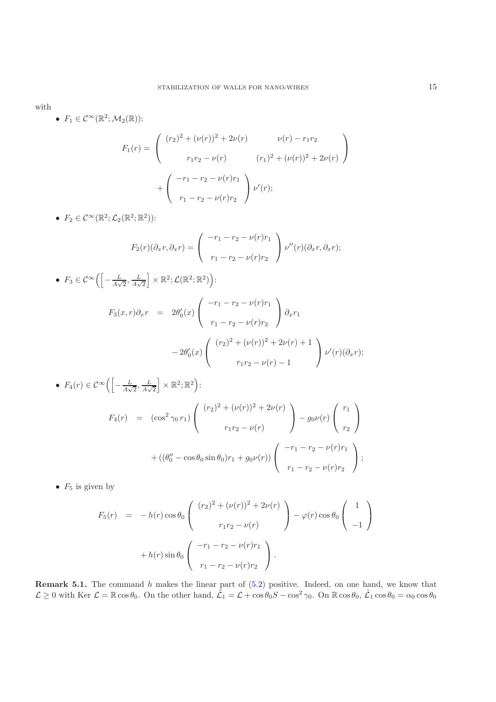with

•  $F_1 \in C^{\infty}(\mathbb{R}^2; \mathcal{M}_2(\mathbb{R}))$ :

$$
F_1(r) = \begin{pmatrix} (r_2)^2 + (\nu(r))^2 + 2\nu(r) & \nu(r) - r_1r_2 \\ r_1r_2 - \nu(r) & (r_1)^2 + (\nu(r))^2 + 2\nu(r) \end{pmatrix} + \begin{pmatrix} -r_1 - r_2 - \nu(r)r_1 \\ r_1 - r_2 - \nu(r)r_2 \end{pmatrix} \nu'(r);
$$

•  $F_2 \in C^{\infty}(\mathbb{R}^2; \mathcal{L}_2(\mathbb{R}^2; \mathbb{R}^2))$ :

$$
F_2(r)(\partial_x r, \partial_x r) = \begin{pmatrix} -r_1 - r_2 - \nu(r)r_1 \\ r_1 - r_2 - \nu(r)r_2 \end{pmatrix} \nu''(r)(\partial_x r, \partial_x r);
$$

• 
$$
F_3 \in C^{\infty} \Biggl( \Biggl[ -\frac{L}{A\sqrt{2}}, \frac{L}{A\sqrt{2}} \Biggr] \times \mathbb{R}^2; \mathcal{L}(\mathbb{R}^2; \mathbb{R}^2) \Biggr):
$$
  
\n
$$
F_3(x, r) \partial_x r = 2\theta'_0(x) \begin{pmatrix} -r_1 - r_2 - \nu(r)r_1 \\ r_1 - r_2 - \nu(r)r_2 \end{pmatrix} \partial_x r_1
$$
\n
$$
-2\theta'_0(x) \begin{pmatrix} (r_2)^2 + (\nu(r))^2 + 2\nu(r) + 1 \\ r_1r_2 - \nu(r) - 1 \end{pmatrix} \nu'(r)(\partial_x r);
$$
\n•  $F_4(r) \in C^{\infty} \Biggl( \Biggl[ -\frac{L}{A\sqrt{2}}, \frac{L}{A\sqrt{2}} \Biggr] \times \mathbb{R}^2; \mathbb{R}^2 \Biggr):$ 

$$
A(r) \in C^{\infty} \left( \left[ -\frac{L}{A\sqrt{2}}, \frac{L}{A\sqrt{2}} \right] \times \mathbb{R}^{2}; \mathbb{R}^{2} \right):
$$
  
\n
$$
F_{4}(r) = (\cos^{2} \gamma_{0} r_{1}) \left( \frac{(r_{2})^{2} + (\nu(r))^{2} + 2\nu(r)}{r_{1}r_{2} - \nu(r)} \right) - g_{0}\nu(r) \left( \frac{r_{1}}{r_{2}} \right)
$$
  
\n
$$
+ ((\theta_{0}'' - \cos \theta_{0} \sin \theta_{0})r_{1} + g_{0}\nu(r)) \left( \frac{-r_{1} - r_{2} - \nu(r)r_{1}}{r_{1} - r_{2} - \nu(r)r_{2}} \right);
$$

•  $F_5$  is given by

$$
F_5(r) = -h(r)\cos\theta_0 \begin{pmatrix} (r_2)^2 + (\nu(r))^2 + 2\nu(r) \ r_1r_2 - \nu(r) \end{pmatrix} - \varphi(r)\cos\theta_0 \begin{pmatrix} 1 \ -1 \end{pmatrix}
$$

$$
+ h(r)\sin\theta_0 \begin{pmatrix} -r_1 - r_2 - \nu(r)r_1 \ r_1 - r_2 - \nu(r)r_2 \end{pmatrix}.
$$

**Remark 5.1.** The command h makes the linear part of [\(5.2\)](#page-13-0) positive. Indeed, on one hand, we know that  $\zeta > 0$  with Ker  $\zeta = \mathbb{R} \cos \theta_0$ . On the other hand,  $\tilde{\zeta} = \zeta + \cos \theta_0 S = \cos^2 \zeta_0$ . On  $\mathbb{R} \cos \theta_0 = \cos \theta_0 S = \cos \$  $\mathcal{L} \geq 0$  with Ker  $\mathcal{L} = \mathbb{R} \cos \theta_0$ . On the other hand,  $\tilde{\mathcal{L}}_1 = \mathcal{L} + \cos \theta_0 S - \cos^2 \gamma_0$ . On  $\mathbb{R} \cos \theta_0$ ,  $\tilde{\mathcal{L}}_1 \cos \theta_0 = \alpha_0 \cos \theta_0$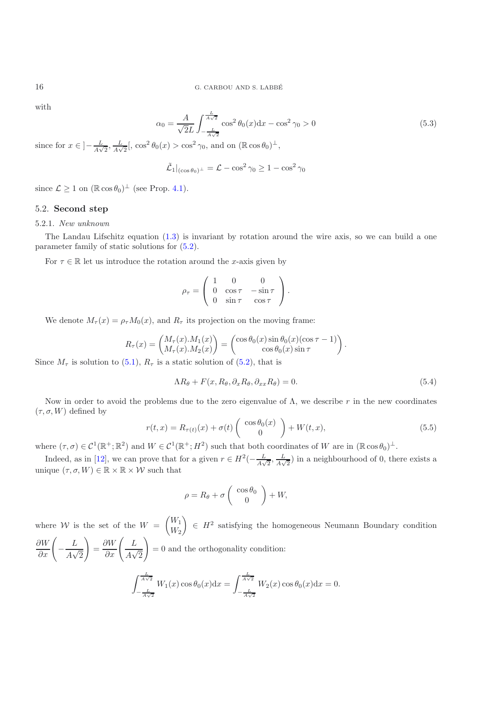with

$$
\alpha_0 = \frac{A}{\sqrt{2}L} \int_{-\frac{L}{A\sqrt{2}}}^{\frac{L}{A\sqrt{2}}} \cos^2 \theta_0(x) dx - \cos^2 \gamma_0 > 0
$$
\n(5.3)

since for  $x \in \left] -\frac{L}{A\sqrt{2}}, \frac{L}{A\sqrt{2}} \right[$ ,  $\cos^2 \theta_0(x) > \cos^2 \gamma_0$ , and on  $(\mathbb{R} \cos \theta_0)^{\perp}$ ,

$$
\tilde{\mathcal{L}}_1|_{(\cos\theta_0)^\perp} = \mathcal{L} - \cos^2\gamma_0 \ge 1 - \cos^2\gamma_0
$$

since  $\mathcal{L} \geq 1$  on  $(\mathbb{R} \cos \theta_0)^{\perp}$  (see Prop. [4.1\)](#page-11-2).

### 5.2. **Second step**

#### 5.2.1. *New unknown*

The Landau Lifschitz equation [\(1.3\)](#page-1-0) is invariant by rotation around the wire axis, so we can build a one parameter family of static solutions for [\(5.2\)](#page-13-0).

For  $\tau \in \mathbb{R}$  let us introduce the rotation around the x-axis given by

$$
\rho_{\tau} = \left( \begin{array}{ccc} 1 & 0 & 0 \\ 0 & \cos \tau & -\sin \tau \\ 0 & \sin \tau & \cos \tau \end{array} \right).
$$

We denote  $M_{\tau}(x) = \rho_{\tau} M_0(x)$ , and  $R_{\tau}$  its projection on the moving frame:

<span id="page-15-1"></span>
$$
R_{\tau}(x) = \begin{pmatrix} M_{\tau}(x) \cdot M_1(x) \\ M_{\tau}(x) \cdot M_2(x) \end{pmatrix} = \begin{pmatrix} \cos \theta_0(x) \sin \theta_0(x) (\cos \tau - 1) \\ \cos \theta_0(x) \sin \tau \end{pmatrix}
$$

Since  $M_{\tau}$  is solution to [\(5.1\)](#page-12-0),  $R_{\tau}$  is a static solution of [\(5.2\)](#page-13-0), that is

$$
\Lambda R_{\theta} + F(x, R_{\theta}, \partial_x R_{\theta}, \partial_{xx} R_{\theta}) = 0.
$$
\n(5.4)

Now in order to avoid the problems due to the zero eigenvalue of  $\Lambda$ , we describe r in the new coordinates  $(\tau, \sigma, W)$  defined by

$$
r(t,x) = R_{\tau(t)}(x) + \sigma(t) \begin{pmatrix} \cos \theta_0(x) \\ 0 \end{pmatrix} + W(t,x), \tag{5.5}
$$

<span id="page-15-0"></span>where  $(\tau,\sigma) \in \mathcal{C}^1(\mathbb{R}^+;\mathbb{R}^2)$  and  $W \in \mathcal{C}^1(\mathbb{R}^+;H^2)$  such that both coordinates of W are in  $(\mathbb{R} \cos \theta_0)^{\perp}$ .

Indeed, as in [\[12\]](#page-20-8), we can prove that for a given  $r \in H^2(-\frac{L}{A\sqrt{2}}, \frac{L}{A\sqrt{2}})$  in a neighbourhood of 0, there exists a unique  $(\tau, \sigma, W) \in \mathbb{R} \times \mathbb{R} \times \mathcal{W}$  such that

$$
\rho = R_{\theta} + \sigma \left( \begin{array}{c} \cos \theta_0 \\ 0 \end{array} \right) + W,
$$

<span id="page-15-2"></span>where W is the set of the  $W = \begin{pmatrix} W_1 \ W_2 \end{pmatrix} \in H^2$  satisfying the homogeneous Neumann Boundary condition  $W_2$ <del>ິ</del>∴  $\frac{\partial W}{\partial x}\Bigg($  $-\frac{B}{4}$  $\frac{L}{A\sqrt{2}}$  $\setminus$  $=\frac{\sigma}{\Omega_{\infty}}$  $\frac{\partial W}{\partial x}\Bigg($ L  $\frac{L}{A\sqrt{2}}$  $\setminus$ = 0 and the orthogonality condition:  $\int \frac{L}{A\sqrt{2}}$  $-\frac{L}{A\sqrt{2}}W_1(x)\cos\theta_0(x)dx =$  $\int \frac{L}{A\sqrt{2}}$  $\int_{-\frac{L}{A\sqrt{2}}}^{\infty} W_2(x) \cos \theta_0(x) dx = 0.$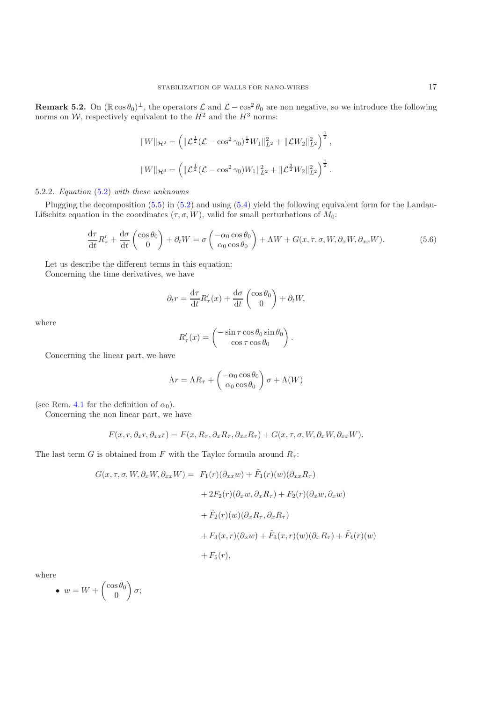**Remark 5.2.** On ( $\mathbb{R} \cos \theta_0$ )<sup>⊥</sup>, the operators  $\mathcal{L}$  and  $\mathcal{L} - \cos^2 \theta_0$  are non negative, so we introduce the following norms on  $\mathcal{W}$  respectively equivalent to the  $H^2$  and the  $H^3$  norms: norms on  $W$ , respectively equivalent to the  $H^2$  and the  $H^3$  norms:

$$
||W||_{\mathcal{H}^2} = \left( ||\mathcal{L}^{\frac{1}{2}}(\mathcal{L} - \cos^2 \gamma_0)^{\frac{1}{2}} W_1 ||_{L^2}^2 + ||\mathcal{L}W_2||_{L^2}^2 \right)^{\frac{1}{2}},
$$
  

$$
||W||_{\mathcal{H}^3} = \left( ||\mathcal{L}^{\frac{1}{2}}(\mathcal{L} - \cos^2 \gamma_0) W_1 ||_{L^2}^2 + ||\mathcal{L}^{\frac{3}{2}} W_2 ||_{L^2}^2 \right)^{\frac{1}{2}}.
$$

#### 5.2.2. *Equation* [\(5.2\)](#page-13-0) *with these unknowns*

Plugging the decomposition [\(5.5\)](#page-15-0) in [\(5.2\)](#page-13-0) and using [\(5.4\)](#page-15-1) yield the following equivalent form for the Landau-Lifschitz equation in the coordinates  $(\tau, \sigma, W)$ , valid for small perturbations of  $M_0$ :

$$
\frac{d\tau}{dt}R'_{\tau} + \frac{d\sigma}{dt}\begin{pmatrix} \cos\theta_0\\0 \end{pmatrix} + \partial_t W = \sigma \begin{pmatrix} -\alpha_0 \cos\theta_0\\ \alpha_0 \cos\theta_0 \end{pmatrix} + \Lambda W + G(x,\tau,\sigma,W,\partial_x W, \partial_{xx} W). \tag{5.6}
$$

<span id="page-16-0"></span>Let us describe the different terms in this equation: Concerning the time derivatives, we have

$$
\partial_t r = \frac{\mathrm{d}\tau}{\mathrm{d}t} R'_\tau(x) + \frac{\mathrm{d}\sigma}{\mathrm{d}t} \begin{pmatrix} \cos \theta_0 \\ 0 \end{pmatrix} + \partial_t W,
$$

where

$$
R'_{\tau}(x) = \begin{pmatrix} -\sin \tau \cos \theta_0 \sin \theta_0 \\ \cos \tau \cos \theta_0 \end{pmatrix}.
$$

Concerning the linear part, we have

$$
\Lambda r = \Lambda R_{\tau} + \begin{pmatrix} -\alpha_0 \cos \theta_0 \\ \alpha_0 \cos \theta_0 \end{pmatrix} \sigma + \Lambda(W)
$$

(see Rem. [4.1](#page-11-2) for the definition of  $\alpha_0$ ).

Concerning the non linear part, we have

$$
F(x, r, \partial_x r, \partial_{xx} r) = F(x, R_\tau, \partial_x R_\tau, \partial_{xx} R_\tau) + G(x, \tau, \sigma, W, \partial_x W, \partial_{xx} W).
$$

The last term G is obtained from F with the Taylor formula around  $R_{\tau}$ :

$$
G(x, \tau, \sigma, W, \partial_x W, \partial_{xx} W) = F_1(r)(\partial_{xx} w) + \tilde{F}_1(r)(w)(\partial_{xx} R_{\tau})
$$
  
+  $2F_2(r)(\partial_x w, \partial_x R_{\tau}) + F_2(r)(\partial_x w, \partial_x w)$   
+  $\tilde{F}_2(r)(w)(\partial_x R_{\tau}, \partial_x R_{\tau})$   
+  $F_3(x, r)(\partial_x w) + \tilde{F}_3(x, r)(w)(\partial_x R_{\tau}) + \tilde{F}_4(r)(w)$   
+  $F_5(r)$ ,

where

• 
$$
w = W + \begin{pmatrix} \cos \theta_0 \\ 0 \end{pmatrix} \sigma;
$$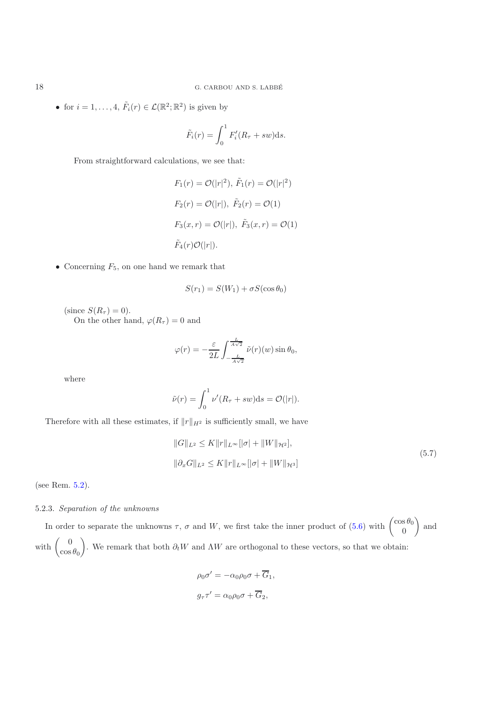• for  $i = 1, ..., 4$ ,  $\tilde{F}_i(r) \in \mathcal{L}(\mathbb{R}^2; \mathbb{R}^2)$  is given by

$$
\tilde{F}_i(r) = \int_0^1 F'_i(R_\tau + sw) \mathrm{d} s.
$$

From straightforward calculations, we see that:

$$
F_1(r) = \mathcal{O}(|r|^2), \tilde{F}_1(r) = \mathcal{O}(|r|^2)
$$
  
\n
$$
F_2(r) = \mathcal{O}(|r|), \tilde{F}_2(r) = \mathcal{O}(1)
$$
  
\n
$$
F_3(x, r) = \mathcal{O}(|r|), \tilde{F}_3(x, r) = \mathcal{O}(1)
$$
  
\n
$$
\tilde{F}_4(r)\mathcal{O}(|r|).
$$

• Concerning  $F_5$ , on one hand we remark that

$$
S(r_1) = S(W_1) + \sigma S(\cos \theta_0)
$$

(since  $S(R_{\tau}) = 0$ ).

On the other hand,  $\varphi(R_{\tau}) = 0$  and

$$
\varphi(r) = -\frac{\varepsilon}{2L} \int_{-\frac{L}{A\sqrt{2}}}^{\frac{L}{A\sqrt{2}}} \tilde{\nu}(r)(w) \sin \theta_0,
$$

where

$$
\tilde{\nu}(r) = \int_0^1 \nu'(R_{\tau} + sw) \mathrm{d}s = \mathcal{O}(|r|).
$$

Therefore with all these estimates, if  $||r||_{H^2}$  is sufficiently small, we have

<span id="page-17-0"></span>
$$
||G||_{L^{2}} \leq K||r||_{L^{\infty}}[|\sigma| + ||W||_{\mathcal{H}^{2}}],
$$
  

$$
||\partial_{x}G||_{L^{2}} \leq K||r||_{L^{\infty}}[|\sigma| + ||W||_{\mathcal{H}^{3}}]
$$
\n(5.7)

(see Rem. [5.2\)](#page-15-2).

## 5.2.3. *Separation of the unknowns*

In order to separate the unknowns  $\tau$ ,  $\sigma$  and W, we first take the inner product of [\(5.6\)](#page-16-0) with  $\begin{pmatrix} \cos \theta_0 \\ 0 \end{pmatrix}$ ) and with  $\begin{pmatrix} 0 \\ 0 \end{pmatrix}$  $\cos\theta_0$ ). We remark that both  $\partial_t W$  and  $\Lambda W$  are orthogonal to these vectors, so that we obtain:

$$
\rho_0 \sigma' = -\alpha_0 \rho_0 \sigma + \overline{G}_1,
$$
  

$$
g_{\tau} \tau' = \alpha_0 \rho_0 \sigma + \overline{G}_2,
$$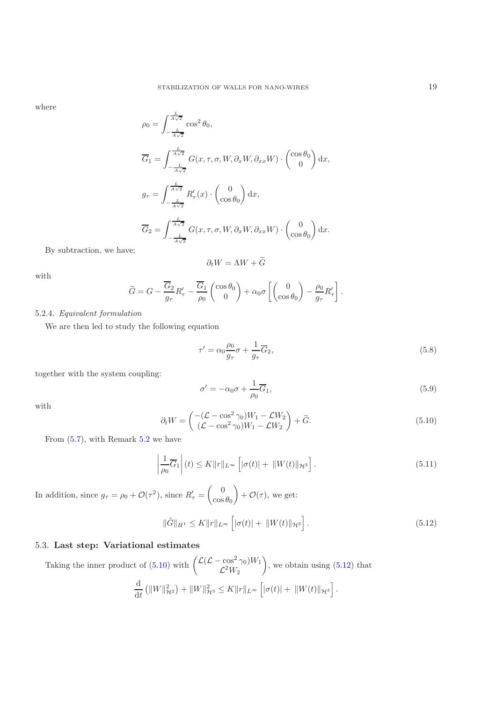where

$$
\rho_0 = \int_{-\frac{L}{A\sqrt{2}}}^{\frac{L}{A\sqrt{2}}} \cos^2 \theta_0,
$$
  
\n
$$
\overline{G}_1 = \int_{-\frac{L}{A\sqrt{2}}}^{\frac{L}{A\sqrt{2}}} G(x, \tau, \sigma, W, \partial_x W, \partial_{xx} W) \cdot \begin{pmatrix} \cos \theta_0 \\ 0 \end{pmatrix} dx,
$$
  
\n
$$
g_{\tau} = \int_{-\frac{L}{A\sqrt{2}}}^{\frac{L}{A\sqrt{2}}} R'_{\tau}(x) \cdot \begin{pmatrix} 0 \\ \cos \theta_0 \end{pmatrix} dx,
$$
  
\n
$$
\overline{G}_2 = \int_{-\frac{L}{A\sqrt{2}}}^{\frac{L}{A\sqrt{2}}} G(x, \tau, \sigma, W, \partial_x W, \partial_{xx} W) \cdot \begin{pmatrix} 0 \\ \cos \theta_0 \end{pmatrix} dx.
$$

By subtraction, we have:

$$
\partial_t W = \Lambda W + G
$$

with

$$
\widetilde{G} = G - \frac{\overline{G}_2}{g_\tau} R'_\tau - \frac{\overline{G}_1}{\rho_0} \begin{pmatrix} \cos \theta_0 \\ 0 \end{pmatrix} + \alpha_0 \sigma \left[ \begin{pmatrix} 0 \\ \cos \theta_0 \end{pmatrix} - \frac{\rho_0}{g_\tau} R'_\tau \right].
$$

## 5.2.4. *Equivalent formulation*

We are then led to study the following equation

<span id="page-18-4"></span>
$$
\tau' = \alpha_0 \frac{\rho_0}{g_\tau} \sigma + \frac{1}{g_\tau} \overline{G}_2,\tag{5.8}
$$

together with the system coupling:

$$
\sigma' = -\alpha_0 \sigma + \frac{1}{\rho_0} \overline{G}_1,\tag{5.9}
$$

with

<span id="page-18-2"></span>
$$
\partial_t W = \begin{pmatrix} -(\mathcal{L} - \cos^2 \gamma_0) W_1 - \mathcal{L} W_2 \\ (\mathcal{L} - \cos^2 \gamma_0) W_1 - \mathcal{L} W_2 \end{pmatrix} + \widetilde{G}.
$$
 (5.10)

<span id="page-18-3"></span><span id="page-18-0"></span>From [\(5.7\)](#page-17-0), with Remark [5.2](#page-15-2) we have

$$
\left|\frac{1}{\rho_0}\overline{G}_1\right|(t) \le K \|r\|_{L^\infty} \left[|\sigma(t)| + \|W(t)\|_{\mathcal{H}^3}\right].\tag{5.11}
$$

In addition, since  $g_{\tau} = \rho_0 + \mathcal{O}(\tau^2)$ , since  $R'_{\tau} = \begin{pmatrix} 0 \\ \cos \theta_0 \end{pmatrix}$  $\cos\theta_0$  $+ \mathcal{O}(\tau)$ , we get:

<span id="page-18-1"></span>
$$
\|\tilde{G}\|_{H^1} \le K \|r\|_{L^\infty} \left[ |\sigma(t)| + \|W(t)\|_{\mathcal{H}^3} \right]. \tag{5.12}
$$

# 5.3. **Last step: Variational estimates**

Taking the inner product of [\(5.10\)](#page-18-0) with  $\left(\frac{\mathcal{L}(\mathcal{L} - \cos^2 \gamma_0)}{\mathcal{L}^2 W_{\gamma}}\right)$  $\mathcal{L}^2W_2$ ), we obtain using  $(5.12)$  that d  $\frac{d}{dt} (||W||^2_{\mathcal{H}^2}) + ||W||^2_{\mathcal{H}^3} \leq K ||r||_{L^{\infty}} [|\sigma(t)| + ||W(t)||_{\mathcal{H}^3}]$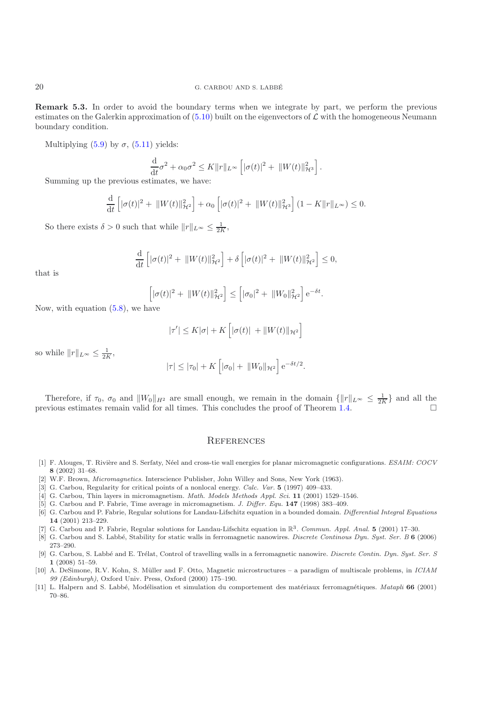**Remark 5.3.** In order to avoid the boundary terms when we integrate by part, we perform the previous estimates on the Galerkin approximation of  $(5.10)$  built on the eigenvectors of  $\mathcal L$  with the homogeneous Neumann boundary condition.

Multiplying  $(5.9)$  by  $\sigma$ ,  $(5.11)$  yields:

$$
\frac{\mathrm{d}}{\mathrm{d}t}\sigma^2 + \alpha_0 \sigma^2 \le K \|r\|_{L^\infty} \left[ |\sigma(t)|^2 + \|W(t)\|_{\mathcal{H}^3}^2 \right].
$$

 $\frac{dt}{dt}$   $\frac{d\theta}{dt}$  = 1

$$
\frac{\mathrm{d}}{\mathrm{d}t}\left[|\sigma(t)|^2 + ||W(t)||_{\mathcal{H}^2}^2\right] + \alpha_0\left[|\sigma(t)|^2 + ||W(t)||_{\mathcal{H}^3}^2\right](1 - K||r||_{L^{\infty}}) \le 0.
$$

So there exists  $\delta > 0$  such that while  $||r||_{L^{\infty}} \le \frac{1}{2K}$ ,

$$
\frac{\mathrm{d}}{\mathrm{d}t}\left[|\sigma(t)|^2 + \|W(t)\|_{\mathcal{H}^2}^2\right] + \delta\left[|\sigma(t)|^2 + \|W(t)\|_{\mathcal{H}^2}^2\right] \leq 0,
$$

that is

$$
\[|\sigma(t)|^2 + \|W(t)\|_{\mathcal{H}^2}^2\] \leq \[|\sigma_0|^2 + \|W_0\|_{\mathcal{H}^2}^2\] e^{-\delta t}.
$$

Now, with equation  $(5.8)$ , we have

$$
|\tau'| \le K|\sigma| + K\left[|\sigma(t)| + ||W(t)||_{\mathcal{H}^2}\right]
$$

so while  $||r||_{L^{\infty}} \leq \frac{1}{2K}$ ,

$$
|\tau| \le |\tau_0| + K \left[ |\sigma_0| + ||W_0||_{\mathcal{H}^2} \right] e^{-\delta t/2}.
$$

Therefore, if  $\tau_0$ ,  $\sigma_0$  and  $||W_0||_{H^2}$  are small enough, we remain in the domain  $\{||r||_{L^{\infty}} \leq \frac{1}{2K}\}$  and all the wious estimates remain valid for all times. This concludes the proof of Theorem 1.4 previous estimates remain valid for all times. This concludes the proof of Theorem [1.4.](#page-2-3)  $\Box$ 

#### **REFERENCES**

- <span id="page-19-5"></span>[1] F. Alouges, T. Rivière and S. Serfaty, Néel and cross-tie wall energies for planar micromagnetic configurations. ESAIM: COCV **8** (2002) 31–68.
- <span id="page-19-0"></span>[2] W.F. Brown, Micromagnetics. Interscience Publisher, John Willey and Sons, New York (1963).
- [3] G. Carbou, Regularity for critical points of a nonlocal energy. Calc. Var. **5** (1997) 409–433.
- <span id="page-19-10"></span><span id="page-19-6"></span>[4] G. Carbou, Thin layers in micromagnetism. Math. Models Methods Appl. Sci. **11** (2001) 1529–1546.
- <span id="page-19-2"></span>[5] G. Carbou and P. Fabrie, Time average in micromagnetism. J. Differ. Equ. **147** (1998) 383–409.
- <span id="page-19-3"></span>[6] G. Carbou and P. Fabrie, Regular solutions for Landau-Lifschitz equation in a bounded domain. Differential Integral Equations **14** (2001) 213–229.
- <span id="page-19-4"></span>[7] G. Carbou and P. Fabrie, Regular solutions for Landau-Lifschitz equation in R3. Commun. Appl. Anal. **5** (2001) 17–30.
- <span id="page-19-8"></span>[8] G. Carbou and S. Labb´e, Stability for static walls in ferromagnetic nanowires. Discrete Continous Dyn. Syst. Ser. B **6** (2006) 273–290.
- [9] G. Carbou, S. Labbé and E. Trélat, Control of travelling walls in a ferromagnetic nanowire. Discrete Contin. Dyn. Syst. Ser. S **1** (2008) 51–59.
- <span id="page-19-9"></span><span id="page-19-7"></span>[10] A. DeSimone, R.V. Kohn, S. Müller and F. Otto, Magnetic microstructures – a paradigm of multiscale problems, in ICIAM 99 (Edinburgh), Oxford Univ. Press, Oxford (2000) 175–190.
- <span id="page-19-1"></span>[11] L. Halpern and S. Labbé, Modélisation et simulation du comportement des matériaux ferromagnétiques. Matapli 66 (2001) 70–86.